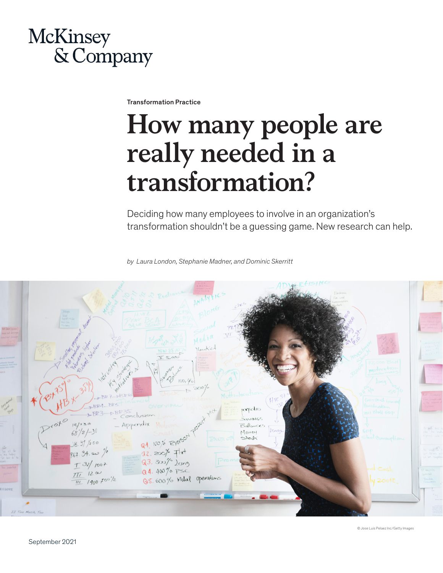

Transformation Practice

# **How many people are really needed in a transformation?**

Deciding how many employees to involve in an organization's transformation shouldn't be a guessing game. New research can help.

*by Laura London, Stephanie Madner, and Dominic Skerritt* 



© Jose Luis Pelaez Inc/Getty Images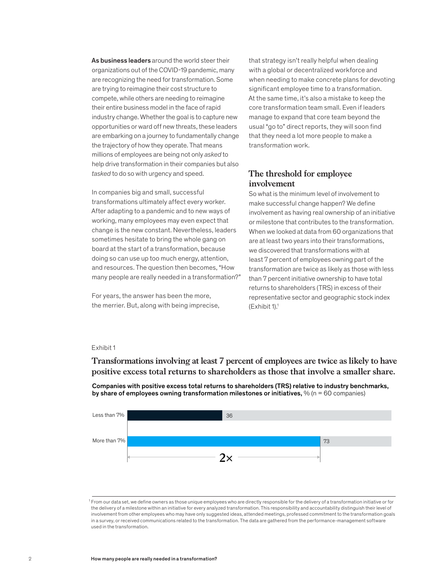As business leaders around the world steer their organizations out of the COVID-19 pandemic, many are recognizing the need for transformation. Some are trying to reimagine their cost structure to compete, while others are needing to reimagine their entire business model in the face of rapid industry change. Whether the goal is to capture new opportunities or ward off new threats, these leaders are embarking on a journey to fundamentally change the trajectory of how they operate. That means millions of employees are being not only *asked* to help drive transformation in their companies but also *tasked* to do so with urgency and speed.

In companies big and small, successful transformations ultimately affect every worker. After adapting to a pandemic and to new ways of working, many employees may even expect that change is the new constant. Nevertheless, leaders sometimes hesitate to bring the whole gang on board at the start of a transformation, because doing so can use up too much energy, attention, and resources. The question then becomes, "How many people are really needed in a transformation?"

For years, the answer has been the more, the merrier. But, along with being imprecise,

that strategy isn't really helpful when dealing with a global or decentralized workforce and when needing to make concrete plans for devoting significant employee time to a transformation. At the same time, it's also a mistake to keep the core transformation team small. Even if leaders manage to expand that core team beyond the usual "go to" direct reports, they will soon find that they need a lot more people to make a transformation work.

# **The threshold for employee involvement**

So what is the minimum level of involvement to make successful change happen? We define involvement as having real ownership of an initiative or milestone that contributes to the transformation. When we looked at data from 60 organizations that are at least two years into their transformations, we discovered that transformations with at least 7 percent of employees owning part of the transformation are twice as likely as those with less than 7 percent initiative ownership to have total returns to shareholders (TRS) in excess of their representative sector and geographic stock index  $(Exhibit 1).<sup>1</sup>$ 

## Exhibit 1

Transformations involving at least 7 percent of employees are twice as likely to have **Transformations involving at least 7 percent of employees are twice as likely to have**  positive excess total returns to shareholders as those that involve a smaller share. **positive excess total returns to shareholders as those that involve a smaller share.**

Companies with positive excess total returns to shareholders (TRS) relative to industry benchmarks, by share of employees owning transformation milestones or initiatives,  $\%$  (n = 60 companies)



<sup>1</sup> From our data set, we define owners as those unique employees who are directly responsible for the delivery of a transformation initiative or for the delivery of a milestone within an initiative for every analyzed transformation. This responsibility and accountability distinguish their level of involvement from other employees who may have only suggested ideas, attended meetings, professed commitment to the transformation goals in a survey, or received communications related to the transformation. The data are gathered from the performance-management software used in the transformation.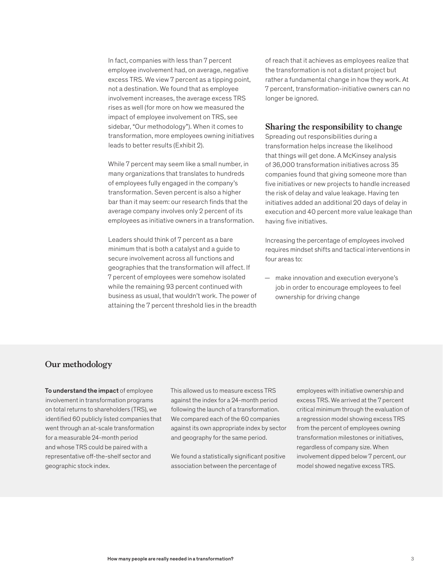In fact, companies with less than 7 percent employee involvement had, on average, negative excess TRS. We view 7 percent as a tipping point, not a destination. We found that as employee involvement increases, the average excess TRS rises as well (for more on how we measured the impact of employee involvement on TRS, see sidebar, "Our methodology"). When it comes to transformation, more employees owning initiatives leads to better results (Exhibit 2).

While 7 percent may seem like a small number, in many organizations that translates to hundreds of employees fully engaged in the company's transformation. Seven percent is also a higher bar than it may seem: our research finds that the average company involves only 2 percent of its employees as initiative owners in a transformation.

Leaders should think of 7 percent as a bare minimum that is both a catalyst and a guide to secure involvement across all functions and geographies that the transformation will affect. If 7 percent of employees were somehow isolated while the remaining 93 percent continued with business as usual, that wouldn't work. The power of attaining the 7 percent threshold lies in the breadth

of reach that it achieves as employees realize that the transformation is not a distant project but rather a fundamental change in how they work. At 7 percent, transformation-initiative owners can no longer be ignored.

# **Sharing the responsibility to change**

Spreading out responsibilities during a transformation helps increase the likelihood that things will get done. A McKinsey analysis of 36,000 transformation initiatives across 35 companies found that giving someone more than five initiatives or new projects to handle increased the risk of delay and value leakage. Having ten initiatives added an additional 20 days of delay in execution and 40 percent more value leakage than having five initiatives.

Increasing the percentage of employees involved requires mindset shifts and tactical interventions in four areas to:

— make innovation and execution everyone's job in order to encourage employees to feel ownership for driving change

# **Our methodology**

To understand the impact of employee involvement in transformation programs on total returns to shareholders (TRS), we identified 60 publicly listed companies that went through an at-scale transformation for a measurable 24-month period and whose TRS could be paired with a representative off-the-shelf sector and geographic stock index.

This allowed us to measure excess TRS against the index for a 24-month period following the launch of a transformation. We compared each of the 60 companies against its own appropriate index by sector and geography for the same period.

We found a statistically significant positive association between the percentage of

employees with initiative ownership and excess TRS. We arrived at the 7 percent critical minimum through the evaluation of a regression model showing excess TRS from the percent of employees owning transformation milestones or initiatives, regardless of company size. When involvement dipped below 7 percent, our model showed negative excess TRS.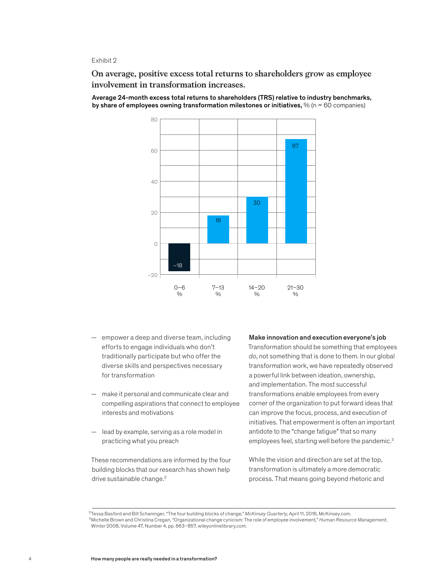# Exhibit 2

On average, positive excess total returns to shareholders grow as employee **On average, positive excess total returns to shareholders grow as employee**  involvement in transformation increases. **involvement in transformation increases.**



Average 24-month excess total returns to shareholders (TRS) relative to industry benchmarks, by share of employees owning transformation milestones or initiatives,  $\%$  (n = 60 companies)

- empower a deep and diverse team, including efforts to engage individuals who don't traditionally participate but who offer the diverse skills and perspectives necessary for transformation
- make it personal and communicate clear and compelling aspirations that connect to employee interests and motivations
- lead by example, serving as a role model in practicing what you preach

These recommendations are informed by the four building blocks that our research has shown help drive sustainable change.<sup>2</sup>

#### Make innovation and execution everyone's job

Transformation should be something that employees *do*, not something that is done to them. In our global transformation work, we have repeatedly observed a powerful link between ideation, ownership, and implementation. The most successful transformations enable employees from every corner of the organization to put forward ideas that can improve the focus, process, and execution of initiatives. That empowerment is often an important antidote to the "change fatigue" that so many employees feel, starting well before the pandemic.<sup>3</sup>

While the vision and direction are set at the top, transformation is ultimately a more democratic process. That means going beyond rhetoric and

<sup>2</sup>Tessa Basford and Bill Schaninger, "The four building blocks of change," *McKinsey Quarterly*, April 11, 2016, McKinsey.com. 3Michelle Brown and Christina Cregan, "Organizational change cynicism: The role of employee involvement," *Human Resource Management*, Winter 2008, Volume 47, Number 4, pp. 663–857, wileyonlinelibrary.com.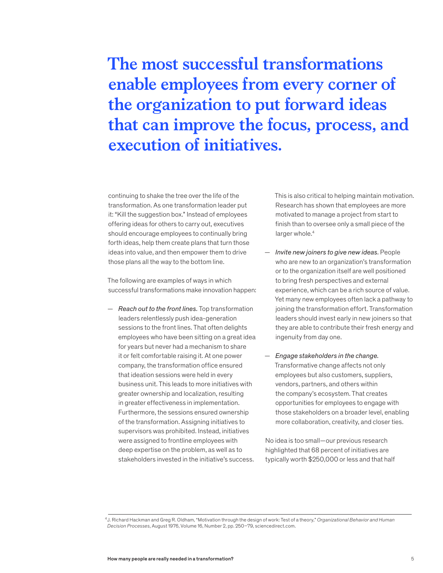# **The most successful transformations enable employees from every corner of the organization to put forward ideas that can improve the focus, process, and execution of initiatives.**

continuing to shake the tree over the life of the transformation. As one transformation leader put it: "Kill the suggestion box." Instead of employees offering ideas for others to carry out, executives should encourage employees to continually bring forth ideas, help them create plans that turn those ideas into value, and then empower them to drive those plans all the way to the bottom line.

The following are examples of ways in which successful transformations make innovation happen:

— *Reach out to the front lines.* Top transformation leaders relentlessly push idea-generation sessions to the front lines. That often delights employees who have been sitting on a great idea for years but never had a mechanism to share it or felt comfortable raising it. At one power company, the transformation office ensured that ideation sessions were held in every business unit. This leads to more initiatives with greater ownership and localization, resulting in greater effectiveness in implementation. Furthermore, the sessions ensured ownership of the transformation. Assigning initiatives to supervisors was prohibited. Instead, initiatives were assigned to frontline employees with deep expertise on the problem, as well as to stakeholders invested in the initiative's success.

This is also critical to helping maintain motivation. Research has shown that employees are more motivated to manage a project from start to finish than to oversee only a small piece of the larger whole.<sup>4</sup>

- *Invite new joiners to give new ideas.* People who are new to an organization's transformation or to the organization itself are well positioned to bring fresh perspectives and external experience, which can be a rich source of value. Yet many new employees often lack a pathway to joining the transformation effort. Transformation leaders should invest early in new joiners so that they are able to contribute their fresh energy and ingenuity from day one.
- *Engage stakeholders in the change.* Transformative change affects not only employees but also customers, suppliers, vendors, partners, and others within the company's ecosystem. That creates opportunities for employees to engage with those stakeholders on a broader level, enabling more collaboration, creativity, and closer ties.

No idea is too small—our previous research highlighted that 68 percent of initiatives are typically worth \$250,000 or less and that half

<sup>4</sup>J. Richard Hackman and Greg R. Oldham, "Motivation through the design of work: Test of a theory," *Organizational Behavior and Human Decision Processes*, August 1976, Volume 16, Number 2, pp. 250–79, sciencedirect.com.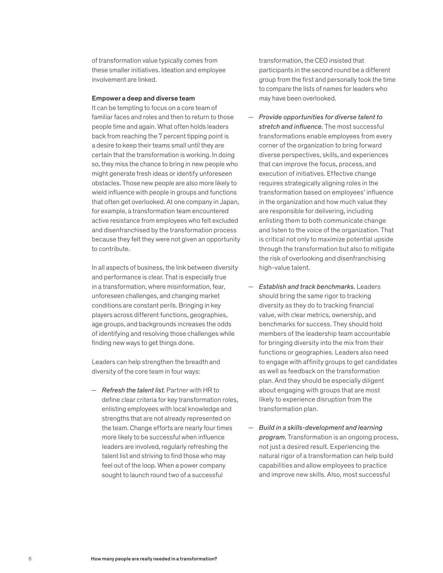of transformation value typically comes from these smaller initiatives. Ideation and employee involvement are linked.

#### Empower a deep and diverse team

It can be tempting to focus on a core team of familiar faces and roles and then to return to those people time and again. What often holds leaders back from reaching the 7 percent tipping point is a desire to keep their teams small until they are certain that the transformation is working. In doing so, they miss the chance to bring in new people who might generate fresh ideas or identify unforeseen obstacles. Those new people are also more likely to wield influence with people in groups and functions that often get overlooked. At one company in Japan, for example, a transformation team encountered active resistance from employees who felt excluded and disenfranchised by the transformation process because they felt they were not given an opportunity to contribute.

In all aspects of business, the link between diversity and performance is clear. That is especially true in a transformation, where misinformation, fear, unforeseen challenges, and changing market conditions are constant perils. Bringing in key players across different functions, geographies, age groups, and backgrounds increases the odds of identifying and resolving those challenges while finding new ways to get things done.

Leaders can help strengthen the breadth and diversity of the core team in four ways:

— *Refresh the talent list.* Partner with HR to define clear criteria for key transformation roles, enlisting employees with local knowledge and strengths that are not already represented on the team. Change efforts are nearly four times more likely to be successful when influence leaders are involved, regularly refreshing the talent list and striving to find those who may feel out of the loop. When a power company sought to launch round two of a successful

transformation, the CEO insisted that participants in the second round be a different group from the first and personally took the time to compare the lists of names for leaders who may have been overlooked.

- *Provide opportunities for diverse talent to stretch and influence.* The most successful transformations enable employees from every corner of the organization to bring forward diverse perspectives, skills, and experiences that can improve the focus, process, and execution of initiatives. Effective change requires strategically aligning roles in the transformation based on employees' influence in the organization and how much value they are responsible for delivering, including enlisting them to both communicate change and listen to the voice of the organization. That is critical not only to maximize potential upside through the transformation but also to mitigate the risk of overlooking and disenfranchising high-value talent.
- *Establish and track benchmarks.* Leaders should bring the same rigor to tracking diversity as they do to tracking financial value, with clear metrics, ownership, and benchmarks for success. They should hold members of the leadership team accountable for bringing diversity into the mix from their functions or geographies. Leaders also need to engage with affinity groups to get candidates as well as feedback on the transformation plan. And they should be especially diligent about engaging with groups that are most likely to experience disruption from the transformation plan.
- *Build in a skills-development and learning program.* Transformation is an ongoing process, not just a desired result. Experiencing the natural rigor of a transformation can help build capabilities and allow employees to practice and improve new skills. Also, most successful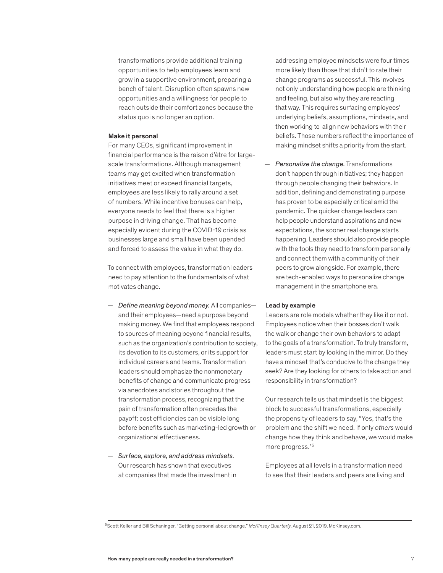transformations provide additional training opportunities to help employees learn and grow in a supportive environment, preparing a bench of talent. Disruption often spawns new opportunities and a willingness for people to reach outside their comfort zones because the status quo is no longer an option.

# Make it personal

For many CEOs, significant improvement in financial performance is the raison d'être for largescale transformations. Although management teams may get excited when transformation initiatives meet or exceed financial targets, employees are less likely to rally around a set of numbers. While incentive bonuses can help, everyone needs to feel that there is a higher purpose in driving change. That has become especially evident during the COVID-19 crisis as businesses large and small have been upended and forced to assess the value in what they do.

To connect with employees, transformation leaders need to pay attention to the fundamentals of what motivates change.

- *Define meaning beyond money.* All companies and their employees—need a purpose beyond making money. We find that employees respond to sources of meaning beyond financial results, such as the organization's contribution to society, its devotion to its customers, or its support for individual careers and teams. Transformation leaders should emphasize the nonmonetary benefits of change and communicate progress via anecdotes and stories throughout the transformation process, recognizing that the pain of transformation often precedes the payoff: cost efficiencies can be visible long before benefits such as marketing-led growth or organizational effectiveness.
- *Surface, explore, and address mindsets.* Our research has shown that executives at companies that made the investment in

addressing employee mindsets were four times more likely than those that didn't to rate their change programs as successful. This involves not only understanding how people are thinking and feeling, but also why they are reacting that way. This requires surfacing employees' underlying beliefs, assumptions, mindsets, and then working to align new behaviors with their beliefs. Those numbers reflect the importance of making mindset shifts a priority from the start.

— *Personalize the change.* Transformations don't happen through initiatives; they happen through people changing their behaviors. In addition, defining and demonstrating purpose has proven to be especially critical amid the pandemic. The quicker change leaders can help people understand aspirations and new expectations, the sooner real change starts happening. Leaders should also provide people with the tools they need to transform personally and connect them with a community of their peers to grow alongside. For example, there are tech-enabled ways to personalize change management in the smartphone era.

#### Lead by example

Leaders are role models whether they like it or not. Employees notice when their bosses don't walk the walk or change their own behaviors to adapt to the goals of a transformation. To truly transform, leaders must start by looking in the mirror. Do they have a mindset that's conducive to the change they seek? Are they looking for others to take action and responsibility in transformation?

Our research tells us that mindset is the biggest block to successful transformations, especially the propensity of leaders to say, "Yes, that's the problem and the shift we need. If only *others* would change how they think and behave, we would make more progress."5

Employees at all levels in a transformation need to see that their leaders and peers are living and

<sup>5</sup>Scott Keller and Bill Schaninger, "Getting personal about change," *McKinsey Quarterly*, August 21, 2019, McKinsey.com.